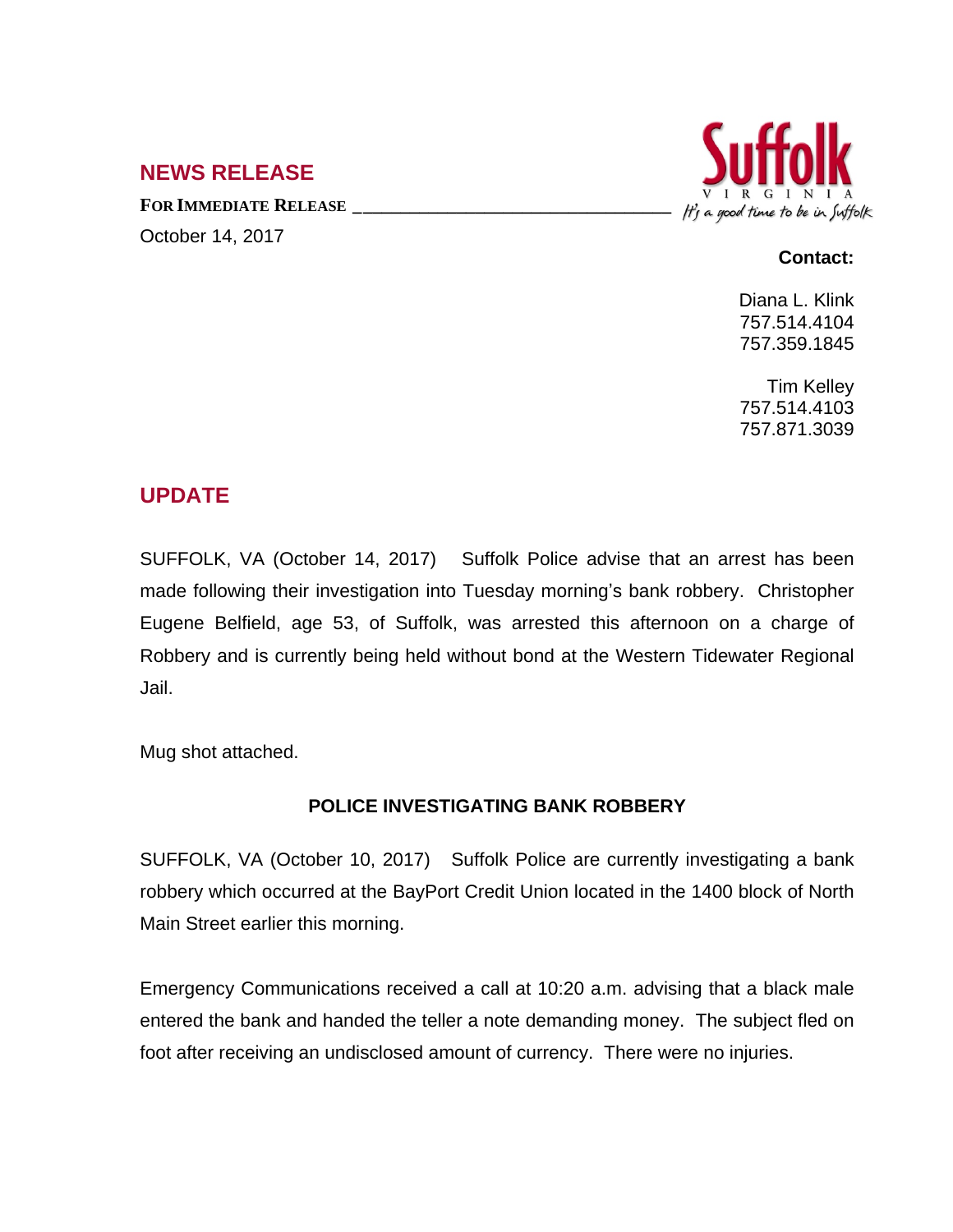## **NEWS RELEASE**

**FOR IMMEDIATE RELEASE \_\_\_\_\_\_\_\_\_\_\_\_\_\_\_\_\_\_\_\_\_\_\_\_\_\_\_\_\_\_\_\_\_\_** October 14, 2017



## **Contact:**

Diana L. Klink 757.514.4104 757.359.1845

Tim Kelley 757.514.4103 757.871.3039

## **UPDATE**

SUFFOLK, VA (October 14, 2017) Suffolk Police advise that an arrest has been made following their investigation into Tuesday morning's bank robbery. Christopher Eugene Belfield, age 53, of Suffolk, was arrested this afternoon on a charge of Robbery and is currently being held without bond at the Western Tidewater Regional Jail.

Mug shot attached.

## **POLICE INVESTIGATING BANK ROBBERY**

SUFFOLK, VA (October 10, 2017) Suffolk Police are currently investigating a bank robbery which occurred at the BayPort Credit Union located in the 1400 block of North Main Street earlier this morning.

Emergency Communications received a call at 10:20 a.m. advising that a black male entered the bank and handed the teller a note demanding money. The subject fled on foot after receiving an undisclosed amount of currency. There were no injuries.